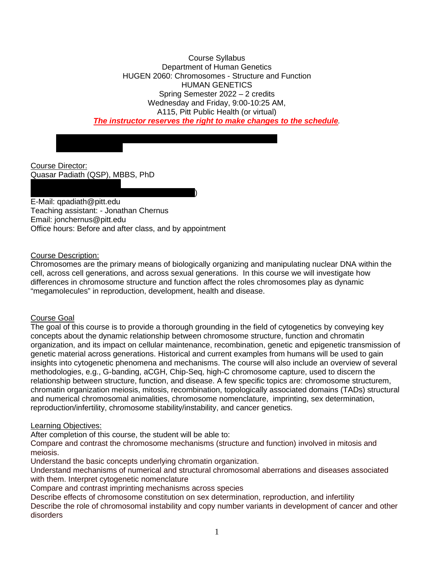Course Syllabus Department of Human Genetics HUGEN 2060: Chromosomes - Structure and Function HUMAN GENETICS Spring Semester 2022 – 2 credits Wednesday and Friday, 9:00-10:25 AM, A115, Pitt Public Health (or virtual) *The instructor reserves the right to make changes to the schedule.*

Course Director: Quasar Padiath (QSP), MBBS, PhD

Passcode : 554975

 $)$ E-Mail: qpadiath@pitt.edu Teaching assistant: - Jonathan Chernus Email: jonchernus@pitt.edu Office hours: Before and after class, and by appointment

## Course Description:

Chromosomes are the primary means of biologically organizing and manipulating nuclear DNA within the cell, across cell generations, and across sexual generations. In this course we will investigate how differences in chromosome structure and function affect the roles chromosomes play as dynamic "megamolecules" in reproduction, development, health and disease.

### Course Goal

The goal of this course is to provide a thorough grounding in the field of cytogenetics by conveying key concepts about the dynamic relationship between chromosome structure, function and chromatin organization, and its impact on cellular maintenance, recombination, genetic and epigenetic transmission of genetic material across generations. Historical and current examples from humans will be used to gain insights into cytogenetic phenomena and mechanisms. The course will also include an overview of several methodologies, e.g., G-banding, aCGH, Chip-Seq, high-C chromosome capture, used to discern the relationship between structure, function, and disease. A few specific topics are: chromosome structurem, chromatin organization meiosis, mitosis, recombination, topologically associated domains (TADs) structural and numerical chromosomal animalities, chromosome nomenclature, imprinting, sex determination, reproduction/infertility, chromosome stability/instability, and cancer genetics.

### Learning Objectives:

After completion of this course, the student will be able to:

Compare and contrast the chromosome mechanisms (structure and function) involved in mitosis and meiosis.

Understand the basic concepts underlying chromatin organization.

Understand mechanisms of numerical and structural chromosomal aberrations and diseases associated with them. Interpret cytogenetic nomenclature

Compare and contrast imprinting mechanisms across species

Describe effects of chromosome constitution on sex determination, reproduction, and infertility Describe the role of chromosomal instability and copy number variants in development of cancer and other disorders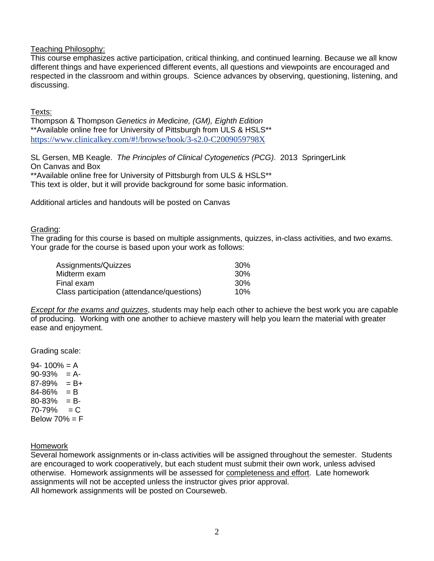Teaching Philosophy:

This course emphasizes active participation, critical thinking, and continued learning. Because we all know different things and have experienced different events, all questions and viewpoints are encouraged and respected in the classroom and within groups. Science advances by observing, questioning, listening, and discussing.

Texts:

Thompson & Thompson *Genetics in Medicine, (GM), Eighth Edition* \*\*Available online free for University of Pittsburgh from ULS & HSLS\*\* <https://www.clinicalkey.com/#!/browse/book/3-s2.0-C2009059798X>

SL Gersen, MB Keagle. *The Principles of Clinical Cytogenetics (PCG)*. 2013 SpringerLink On Canvas and Box \*\*Available online free for University of Pittsburgh from ULS & HSLS\*\*

This text is older, but it will provide background for some basic information.

Additional articles and handouts will be posted on Canvas

#### Grading:

The grading for this course is based on multiple assignments, quizzes, in-class activities, and two exams. Your grade for the course is based upon your work as follows:

| Assignments/Quizzes                        | 30 <sup>%</sup> |
|--------------------------------------------|-----------------|
| Midterm exam                               | .30%            |
| Final exam.                                | 30 <sup>%</sup> |
| Class participation (attendance/questions) | 10%             |

*Except for the exams and quizzes*, students may help each other to achieve the best work you are capable of producing. Working with one another to achieve mastery will help you learn the material with greater ease and enjoyment.

Grading scale:

 $94 - 100\% = A$  $90-93% = A$  $87-89\% = B+$  $84 - 86\% = B$  $80 - 83\% = B$  $70 - 79\% = C$ Below  $70% = F$ 

Homework

Several homework assignments or in-class activities will be assigned throughout the semester. Students are encouraged to work cooperatively, but each student must submit their own work, unless advised otherwise. Homework assignments will be assessed for completeness and effort. Late homework assignments will not be accepted unless the instructor gives prior approval. All homework assignments will be posted on Courseweb.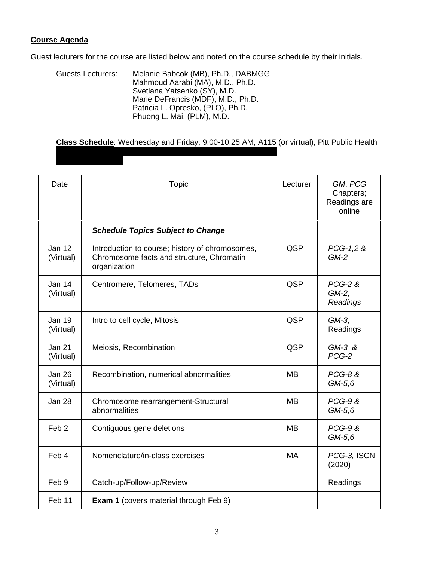## **Course Agenda**

Guest lecturers for the course are listed below and noted on the course schedule by their initials.

Guests Lecturers: Melanie Babcok (MB), Ph.D., DABMGG Mahmoud Aarabi (MA), M.D., Ph.D. Svetlana Yatsenko (SY), M.D. Marie DeFrancis (MDF), M.D., Ph.D. Patricia L. Opresko, (PLO), Ph.D. Phuong L. Mai, (PLM), M.D.

**Class Schedule**: Wednesday and Friday, 9:00-10:25 AM, A115 (or virtual), Pitt Public Health

| Date                       | Topic                                                                                                        | Lecturer  | GM, PCG<br>Chapters;<br>Readings are<br>online |
|----------------------------|--------------------------------------------------------------------------------------------------------------|-----------|------------------------------------------------|
|                            | <b>Schedule Topics Subject to Change</b>                                                                     |           |                                                |
| <b>Jan 12</b><br>(Virtual) | Introduction to course; history of chromosomes,<br>Chromosome facts and structure, Chromatin<br>organization | QSP       | PCG-1,2 &<br>$GM-2$                            |
| Jan 14<br>(Virtual)        | Centromere, Telomeres, TADs                                                                                  | QSP       | $PCG-2$ &<br>GM-2,<br>Readings                 |
| <b>Jan 19</b><br>(Virtual) | Intro to cell cycle, Mitosis                                                                                 | QSP       | GM-3,<br>Readings                              |
| <b>Jan 21</b><br>(Virtual) | Meiosis, Recombination                                                                                       | QSP       | $GM-3$ &<br>PCG-2                              |
| <b>Jan 26</b><br>(Virtual) | Recombination, numerical abnormalities                                                                       | <b>MB</b> | <b>PCG-8 &amp;</b><br>$GM-5,6$                 |
| <b>Jan 28</b>              | Chromosome rearrangement-Structural<br>abnormalities                                                         | <b>MB</b> | <b>PCG-9 &amp;</b><br>$GM-5,6$                 |
| Feb <sub>2</sub>           | Contiguous gene deletions                                                                                    | <b>MB</b> | <b>PCG-9 &amp;</b><br>$GM-5,6$                 |
| Feb 4                      | Nomenclature/in-class exercises                                                                              | <b>MA</b> | PCG-3, ISCN<br>(2020)                          |
| Feb 9                      | Catch-up/Follow-up/Review                                                                                    |           | Readings                                       |
| Feb 11                     | <b>Exam 1</b> (covers material through Feb 9)                                                                |           |                                                |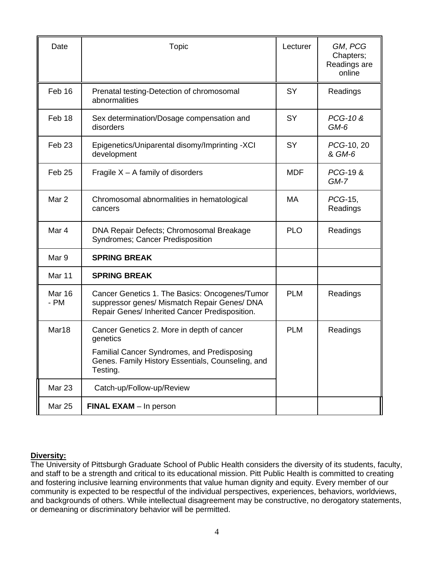| Date                   | <b>Topic</b>                                                                                                                                                                  | Lecturer   | GM, PCG<br>Chapters;<br>Readings are<br>online |
|------------------------|-------------------------------------------------------------------------------------------------------------------------------------------------------------------------------|------------|------------------------------------------------|
| Feb 16                 | Prenatal testing-Detection of chromosomal<br>abnormalities                                                                                                                    | <b>SY</b>  | Readings                                       |
| Feb 18                 | Sex determination/Dosage compensation and<br>disorders                                                                                                                        | <b>SY</b>  | PCG-10 &<br>$GM-6$                             |
| Feb <sub>23</sub>      | Epigenetics/Uniparental disomy/Imprinting -XCI<br>development                                                                                                                 | <b>SY</b>  | PCG-10, 20<br>& GM-6                           |
| Feb <sub>25</sub>      | Fragile $X - A$ family of disorders                                                                                                                                           | <b>MDF</b> | PCG-19 &<br>$GM-7$                             |
| Mar <sub>2</sub>       | Chromosomal abnormalities in hematological<br>cancers                                                                                                                         | <b>MA</b>  | PCG-15,<br>Readings                            |
| Mar 4                  | DNA Repair Defects; Chromosomal Breakage<br>Syndromes; Cancer Predisposition                                                                                                  | <b>PLO</b> | Readings                                       |
| Mar 9                  | <b>SPRING BREAK</b>                                                                                                                                                           |            |                                                |
| Mar 11                 | <b>SPRING BREAK</b>                                                                                                                                                           |            |                                                |
| <b>Mar 16</b><br>$-PM$ | Cancer Genetics 1. The Basics: Oncogenes/Tumor<br>suppressor genes/ Mismatch Repair Genes/ DNA<br>Repair Genes/ Inherited Cancer Predisposition.                              | <b>PLM</b> | Readings                                       |
| Mar18                  | Cancer Genetics 2. More in depth of cancer<br>genetics<br><b>Familial Cancer Syndromes, and Predisposing</b><br>Genes. Family History Essentials, Counseling, and<br>Testing. | <b>PLM</b> | Readings                                       |
| Mar 23                 | Catch-up/Follow-up/Review                                                                                                                                                     |            |                                                |
| <b>Mar 25</b>          | <b>FINAL EXAM</b> - In person                                                                                                                                                 |            |                                                |

# **Diversity:**

The University of Pittsburgh Graduate School of Public Health considers the diversity of its students, faculty, and staff to be a strength and critical to its educational mission. Pitt Public Health is committed to creating and fostering inclusive learning environments that value human dignity and equity. Every member of our community is expected to be respectful of the individual perspectives, experiences, behaviors, worldviews, and backgrounds of others. While intellectual disagreement may be constructive, no derogatory statements, or demeaning or discriminatory behavior will be permitted.